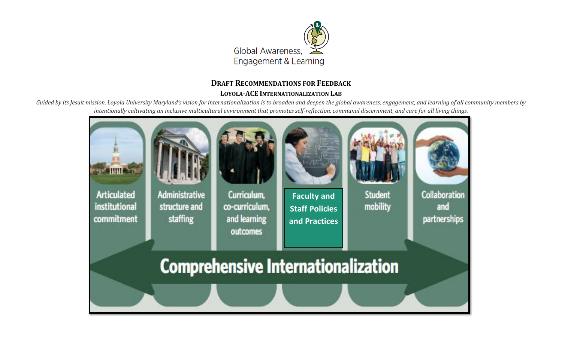

## **DRAFT RECOMMENDATIONS FOR FEEDBACK LOYOLA-ACE INTERNATIONALIZATION LAB**

Guided by its Jesuit mission, Loyola University Maryland's vision for internationalization is to broaden and deepen the global awareness, engagement, and learning of all community members by intentionally cultivating an inclusive multicultural environment that promotes self-reflection, communal discernment, and care for all living things.

## rn THU Curriculum, Collaboration **Articulated** Administrative **Student Faculty and**  mobility institutional structure and co-curriculum, and **Staff Policies**  and learning partnerships commitment staffing **and Practices**outcomes **Comprehensive Internationalization**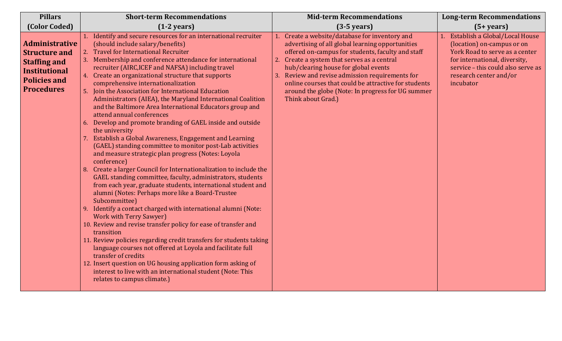| <b>Pillars</b>                                                                                                                           | <b>Short-term Recommendations</b>                                                                                                                                                                                                                                                                                                                                                                                                                                                                                                                                                                                                                                                                                                                                                                                                                                                                                                                                                                                                                                                                                                                                                                                                                                                                                                                                                                                                                                                                                                                                                                                                            | <b>Mid-term Recommendations</b>                                                                                                                                                                                                                                                                                                                                                                                                      | <b>Long-term Recommendations</b>                                                                                                                                                                                |
|------------------------------------------------------------------------------------------------------------------------------------------|----------------------------------------------------------------------------------------------------------------------------------------------------------------------------------------------------------------------------------------------------------------------------------------------------------------------------------------------------------------------------------------------------------------------------------------------------------------------------------------------------------------------------------------------------------------------------------------------------------------------------------------------------------------------------------------------------------------------------------------------------------------------------------------------------------------------------------------------------------------------------------------------------------------------------------------------------------------------------------------------------------------------------------------------------------------------------------------------------------------------------------------------------------------------------------------------------------------------------------------------------------------------------------------------------------------------------------------------------------------------------------------------------------------------------------------------------------------------------------------------------------------------------------------------------------------------------------------------------------------------------------------------|--------------------------------------------------------------------------------------------------------------------------------------------------------------------------------------------------------------------------------------------------------------------------------------------------------------------------------------------------------------------------------------------------------------------------------------|-----------------------------------------------------------------------------------------------------------------------------------------------------------------------------------------------------------------|
| (Color Coded)                                                                                                                            | $(1-2 \text{ years})$                                                                                                                                                                                                                                                                                                                                                                                                                                                                                                                                                                                                                                                                                                                                                                                                                                                                                                                                                                                                                                                                                                                                                                                                                                                                                                                                                                                                                                                                                                                                                                                                                        | $(3-5 \text{ years})$                                                                                                                                                                                                                                                                                                                                                                                                                | $(5 + years)$                                                                                                                                                                                                   |
| <b>Administrative</b><br><b>Structure and</b><br><b>Staffing and</b><br><b>Institutional</b><br><b>Policies and</b><br><b>Procedures</b> | 1. Identify and secure resources for an international recruiter<br>(should include salary/benefits)<br>2. Travel for International Recruiter<br>3. Membership and conference attendance for international<br>recruiter (AIRC, ICEF and NAFSA) including travel<br>4. Create an organizational structure that supports<br>comprehensive internationalization<br>5. Join the Association for International Education<br>Administrators (AIEA), the Maryland International Coalition<br>and the Baltimore Area International Educators group and<br>attend annual conferences<br>6. Develop and promote branding of GAEL inside and outside<br>the university<br>7. Establish a Global Awareness, Engagement and Learning<br>(GAEL) standing committee to monitor post-Lab activities<br>and measure strategic plan progress (Notes: Loyola<br>conference)<br>8. Create a larger Council for Internationalization to include the<br>GAEL standing committee, faculty, administrators, students<br>from each year, graduate students, international student and<br>alumni (Notes: Perhaps more like a Board-Trustee<br>Subcommittee)<br>9. Identify a contact charged with international alumni (Note:<br><b>Work with Terry Sawyer)</b><br>10. Review and revise transfer policy for ease of transfer and<br>transition<br>11. Review policies regarding credit transfers for students taking<br>language courses not offered at Loyola and facilitate full<br>transfer of credits<br>12. Insert question on UG housing application form asking of<br>interest to live with an international student (Note: This<br>relates to campus climate.) | 1. Create a website/database for inventory and<br>advertising of all global learning opportunities<br>offered on-campus for students, faculty and staff<br>Create a system that serves as a central<br>hub/clearing house for global events<br>Review and revise admission requirements for<br>3.<br>online courses that could be attractive for students<br>around the globe (Note: In progress for UG summer<br>Think about Grad.) | 1. Establish a Global/Local House<br>(location) on-campus or on<br>York Road to serve as a center<br>for international, diversity,<br>service - this could also serve as<br>research center and/or<br>incubator |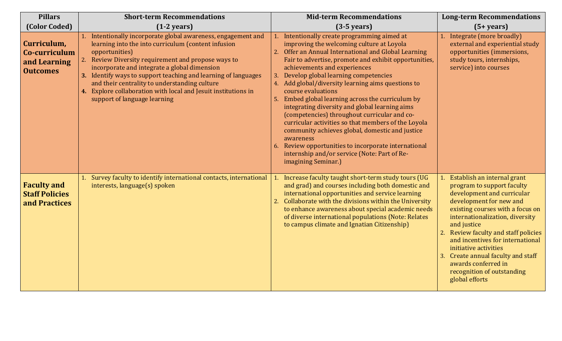| <b>Pillars</b>                                                  | <b>Short-term Recommendations</b>                                                                                                                                                                                                                                                                                                                                                                                                                                  | <b>Mid-term Recommendations</b>                                                                                                                                                                                                                                                                                                                                                                                                                                                                                                                                                                                                                                                                                                                                             | <b>Long-term Recommendations</b>                                                                                                                                                                                                                                                                                                                                                                                           |
|-----------------------------------------------------------------|--------------------------------------------------------------------------------------------------------------------------------------------------------------------------------------------------------------------------------------------------------------------------------------------------------------------------------------------------------------------------------------------------------------------------------------------------------------------|-----------------------------------------------------------------------------------------------------------------------------------------------------------------------------------------------------------------------------------------------------------------------------------------------------------------------------------------------------------------------------------------------------------------------------------------------------------------------------------------------------------------------------------------------------------------------------------------------------------------------------------------------------------------------------------------------------------------------------------------------------------------------------|----------------------------------------------------------------------------------------------------------------------------------------------------------------------------------------------------------------------------------------------------------------------------------------------------------------------------------------------------------------------------------------------------------------------------|
| (Color Coded)                                                   | $(1-2 \text{ years})$                                                                                                                                                                                                                                                                                                                                                                                                                                              | $(3-5 \text{ years})$                                                                                                                                                                                                                                                                                                                                                                                                                                                                                                                                                                                                                                                                                                                                                       | $(5 + years)$                                                                                                                                                                                                                                                                                                                                                                                                              |
| Curriculum,<br>Co-curriculum<br>and Learning<br><b>Outcomes</b> | 1. Intentionally incorporate global awareness, engagement and<br>learning into the into curriculum (content infusion<br>opportunities)<br>2. Review Diversity requirement and propose ways to<br>incorporate and integrate a global dimension<br>3. Identify ways to support teaching and learning of languages<br>and their centrality to understanding culture<br>4. Explore collaboration with local and Jesuit institutions in<br>support of language learning | Intentionally create programming aimed at<br>improving the welcoming culture at Loyola<br>Offer an Annual International and Global Learning<br>Fair to advertise, promote and exhibit opportunities,<br>achievements and experiences<br>3.<br>Develop global learning competencies<br>Add global/diversity learning aims questions to<br>course evaluations<br>Embed global learning across the curriculum by<br>5.<br>integrating diversity and global learning aims<br>(competencies) throughout curricular and co-<br>curricular activities so that members of the Loyola<br>community achieves global, domestic and justice<br>awareness<br>6. Review opportunities to incorporate international<br>internship and/or service (Note: Part of Re-<br>imagining Seminar.) | Integrate (more broadly)<br>external and experiential study<br>opportunities (immersions,<br>study tours, internships,<br>service) into courses                                                                                                                                                                                                                                                                            |
| <b>Faculty and</b><br><b>Staff Policies</b><br>and Practices    | 1. Survey faculty to identify international contacts, international<br>interests, language(s) spoken                                                                                                                                                                                                                                                                                                                                                               | Increase faculty taught short-term study tours (UG<br>and grad) and courses including both domestic and<br>international opportunities and service learning<br>Collaborate with the divisions within the University<br>to enhance awareness about special academic needs<br>of diverse international populations (Note: Relates<br>to campus climate and Ignatian Citizenship)                                                                                                                                                                                                                                                                                                                                                                                              | Establish an internal grant<br>program to support faculty<br>development and curricular<br>development for new and<br>existing courses with a focus on<br>internationalization, diversity<br>and justice<br>2. Review faculty and staff policies<br>and incentives for international<br>initiative activities<br>3. Create annual faculty and staff<br>awards conferred in<br>recognition of outstanding<br>global efforts |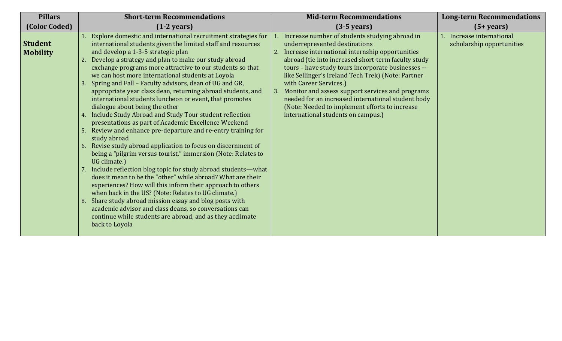| (Color Coded)<br>$(1-2 \text{ years})$<br>$(3-5 \text{ years})$<br>$(5 + years)$<br>Explore domestic and international recruitment strategies for<br>Increase number of students studying abroad in<br>Increase international<br><b>Student</b><br>international students given the limited staff and resources<br>underrepresented destinations<br>scholarship opportunities<br>and develop a 1-3-5 strategic plan<br>Increase international internship opportunities<br>2.                                                                                                                                                                                                                                                                                                                                                                                                                                                                                                                                                                                                                                                                                                                                                                                                                                                                                                                                                                                                                                                                                                                                | <b>Pillars</b>  |
|-------------------------------------------------------------------------------------------------------------------------------------------------------------------------------------------------------------------------------------------------------------------------------------------------------------------------------------------------------------------------------------------------------------------------------------------------------------------------------------------------------------------------------------------------------------------------------------------------------------------------------------------------------------------------------------------------------------------------------------------------------------------------------------------------------------------------------------------------------------------------------------------------------------------------------------------------------------------------------------------------------------------------------------------------------------------------------------------------------------------------------------------------------------------------------------------------------------------------------------------------------------------------------------------------------------------------------------------------------------------------------------------------------------------------------------------------------------------------------------------------------------------------------------------------------------------------------------------------------------|-----------------|
|                                                                                                                                                                                                                                                                                                                                                                                                                                                                                                                                                                                                                                                                                                                                                                                                                                                                                                                                                                                                                                                                                                                                                                                                                                                                                                                                                                                                                                                                                                                                                                                                             |                 |
| Develop a strategy and plan to make our study abroad<br>abroad (tie into increased short-term faculty study<br>tours - have study tours incorporate businesses --<br>exchange programs more attractive to our students so that<br>like Sellinger's Ireland Tech Trek) (Note: Partner<br>we can host more international students at Loyola<br>Spring and Fall - Faculty advisors, dean of UG and GR,<br>with Career Services.)<br>appropriate year class dean, returning abroad students, and<br>Monitor and assess support services and programs<br>3.<br>international students luncheon or event, that promotes<br>needed for an increased international student body<br>dialogue about being the other<br>(Note: Needed to implement efforts to increase<br>Include Study Abroad and Study Tour student reflection<br>international students on campus.)<br>presentations as part of Academic Excellence Weekend<br>Review and enhance pre-departure and re-entry training for<br>5.<br>study abroad<br>Revise study abroad application to focus on discernment of<br>being a "pilgrim versus tourist," immersion (Note: Relates to<br>UG climate.)<br>Include reflection blog topic for study abroad students-what<br>does it mean to be the "other" while abroad? What are their<br>experiences? How will this inform their approach to others<br>when back in the US? (Note: Relates to UG climate.)<br>Share study abroad mission essay and blog posts with<br>academic advisor and class deans, so conversations can<br>continue while students are abroad, and as they acclimate<br>back to Loyola | <b>Mobility</b> |